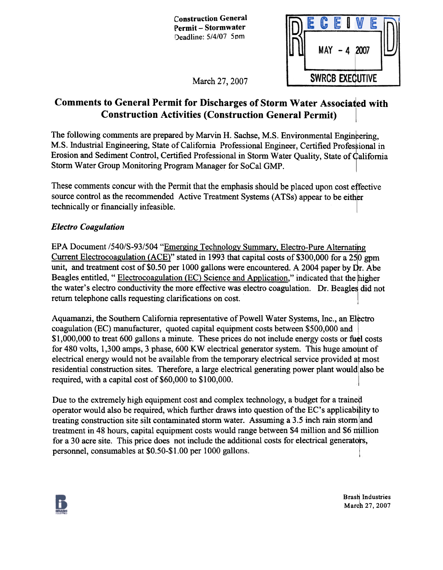Construction General Permit - Stormwater Deadline: 5/4/07 5pm

|                           |                        | E |  |  | F |  |
|---------------------------|------------------------|---|--|--|---|--|
| 2007<br><b>MAY</b><br>- 4 |                        |   |  |  |   |  |
|                           | <b>SWRCB EXECUTIVE</b> |   |  |  |   |  |

March 27, 2007

# Comments to General Permit for Discharges of Storm Water Associated with Construction Activities (Construction General Permit)

The following comments are prepared by Marvin H. Sachse, M.S. Environmental Engineering, M.S. Industrial Engineering, State of California Professional Engineer, Certified Professional in Erosion and Sediment Control, Certified Professional in Storm Water Quality, State of California Storm Water Group Monitoring Program Manager for SoCal GMP.

These comments concur with the Permit that the emphasis should be placed upon cost effective source control as the recommended Active Treatment Systems (ATSs) appear to be either technically or fmancially infeasible.

## Electro Coagulation

EPA Document /540/S-93/504 "Emerging Technology Summary, Electro-Pure Alternating Current Electrocoagulation (ACE)" stated in 1993 that capital costs of \$300,000 for a 250 gpm unit, and treatment cost of \$0.50 per 1000 gallons were encountered. A 2004 paper by  $\overline{Dr}$ . Abe Beagles entitled, "Electrocoagulation (EC) Science and Application," indicated that the higher the water's electro conductivity the more effective was electro coagulation. Dr. Beagles did not return telephone calls requesting clarifications on cost.

Aquamanzi, the Southern California representative of Powell Water Systems, Inc., an Electro coagulation (EC) manufacturer, quoted capital equipment costs between \$500,000 and  $$1,000,000$  to treat 600 gallons a minute. These prices do not include energy costs or fuel costs for 480 volts, 1,300 amps, 3 phase, 600 KW electrical generator system. This huge amount of electrical energy would not be available from the temporary electrical service provided at most residential construction sites. Therefore, a large electrical generating power plant would also be required, with a capital cost of \$60,000 to \$100,000.

Due to the extremely high equipment cost and complex technology, a budget for a trained operator would also be required, which further draws into question of the EC's applicability to treating construction site silt contaminated storm water. Assuming a 3.5 inch rain storm and treatment in 48 hours, capital equipment costs would range between \$4 million and \$6 million for a 30 acre site. This price does not include the additional costs for electrical generators, personnel, consumables at \$0.50-\$1.00 per 1000 gallons.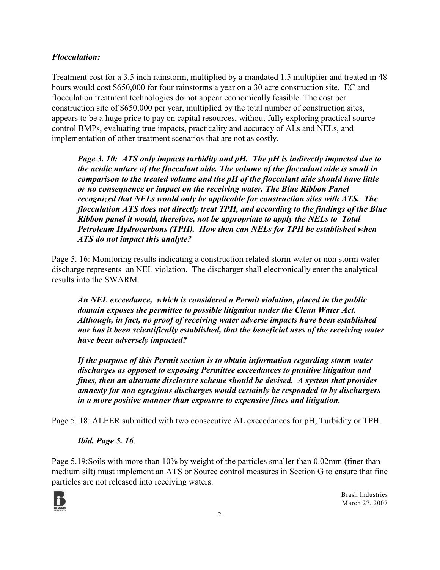#### *Flocculation:*

Treatment cost for a 3.5 inch rainstorm, multiplied by a mandated 1.5 multiplier and treated in 48 hours would cost \$650,000 for four rainstorms a year on a 30 acre construction site. EC and flocculation treatment technologies do not appear economically feasible. The cost per construction site of \$650,000 per year, multiplied by the total number of construction sites, appears to be a huge price to pay on capital resources, without fully exploring practical source control BMPs, evaluating true impacts, practicality and accuracy of ALs and NELs, and implementation of other treatment scenarios that are not as costly.

*Page 3. 10: ATS only impacts turbidity and pH. The pH is indirectly impacted due to the acidic nature of the flocculant aide. The volume of the flocculant aide is small in comparison to the treated volume and the pH of the flocculant aide should have little or no consequence or impact on the receiving water. The Blue Ribbon Panel recognized that NELs would only be applicable for construction sites with ATS. The flocculation ATS does not directly treat TPH, and according to the findings of the Blue Ribbon panel it would, therefore, not be appropriate to apply the NELs to Total Petroleum Hydrocarbons (TPH). How then can NELs for TPH be established when ATS do not impact this analyte?* 

Page 5. 16: Monitoring results indicating a construction related storm water or non storm water discharge represents an NEL violation. The discharger shall electronically enter the analytical results into the SWARM.

*An NEL exceedance, which is considered a Permit violation, placed in the public domain exposes the permittee to possible litigation under the Clean Water Act. Although, in fact, no proof of receiving water adverse impacts have been established nor has it been scientifically established, that the beneficial uses of the receiving water have been adversely impacted?*

*If the purpose of this Permit section is to obtain information regarding storm water discharges as opposed to exposing Permittee exceedances to punitive litigation and fines, then an alternate disclosure scheme should be devised. A system that provides amnesty for non egregious discharges would certainly be responded to by dischargers in a more positive manner than exposure to expensive fines and litigation.* 

Page 5. 18: ALEER submitted with two consecutive AL exceedances for pH, Turbidity or TPH.

*Ibid. Page 5. 16*.

Page 5.19:Soils with more than 10% by weight of the particles smaller than 0.02mm (finer than medium silt) must implement an ATS or Source control measures in Section G to ensure that fine particles are not released into receiving waters.

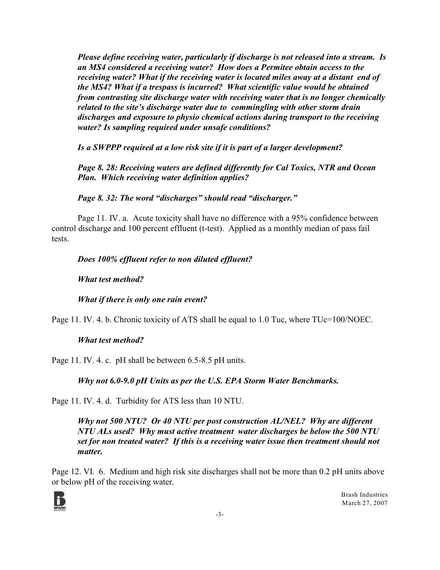*Please define receiving water, particularly if discharge is not released into a stream. Is an MS4 considered a receiving water? How does a Permitee obtain access to the receiving water? What if the receiving water is located miles away at a distant end of the MS4? What if a trespass is incurred? What scientific value would be obtained from contrasting site discharge water with receiving water that is no longer chemically related to the site's discharge water due to commingling with other storm drain discharges and exposure to physio chemical actions during transport to the receiving water? Is sampling required under unsafe conditions?*

*Is a SWPPP required at a low risk site if it is part of a larger development?*

*Page 8. 28: Receiving waters are defined differently for Cal Toxics, NTR and Ocean Plan. Which receiving water definition applies?*

*Page 8. 32: The word "discharges" should read "discharger."*

Page 11. IV. a. Acute toxicity shall have no difference with a 95% confidence between control discharge and 100 percent effluent (t-test). Applied as a monthly median of pass fail tests.

*Does 100% effluent refer to non diluted effluent?*

*What test method?*

*What if there is only one rain event?*

Page 11. IV. 4. b. Chronic toxicity of ATS shall be equal to 1.0 Tuc, where TUc=100/NOEC.

#### *What test method?*

Page 11. IV. 4. c. pH shall be between 6.5-8.5 pH units.

*Why not 6.0-9.0 pH Units as per the U.S. EPA Storm Water Benchmarks.*

Page 11. IV. 4. d. Turbidity for ATS less than 10 NTU.

*Why not 500 NTU? Or 40 NTU per post construction AL/NEL? Why are different NTU ALs used? Why must active treatment water discharges be below the 500 NTU set for non treated water? If this is a receiving water issue then treatment should not matter.* 

Page 12. VI. 6. Medium and high risk site discharges shall not be more than 0.2 pH units above or below pH of the receiving water.

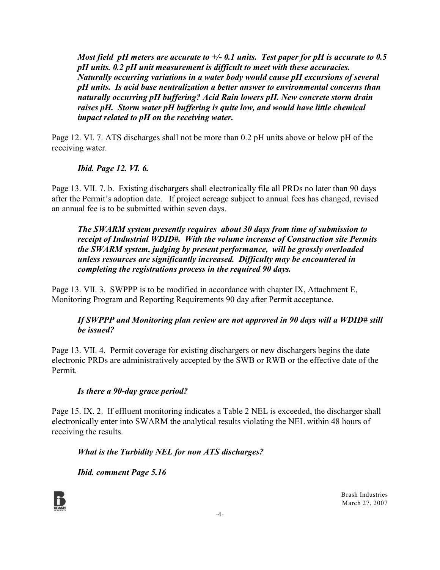*Most field pH meters are accurate to +/- 0.1 units. Test paper for pH is accurate to 0.5 pH units. 0.2 pH unit measurement is difficult to meet with these accuracies. Naturally occurring variations in a water body would cause pH excursions of several pH units. Is acid base neutralization a better answer to environmental concerns than naturally occurring pH buffering? Acid Rain lowers pH. New concrete storm drain raises pH. Storm water pH buffering is quite low, and would have little chemical impact related to pH on the receiving water.* 

Page 12. VI. 7. ATS discharges shall not be more than 0.2 pH units above or below pH of the receiving water.

#### *Ibid. Page 12. VI. 6.*

Page 13. VII. 7. b. Existing dischargers shall electronically file all PRDs no later than 90 days after the Permit's adoption date. If project acreage subject to annual fees has changed, revised an annual fee is to be submitted within seven days.

*The SWARM system presently requires about 30 days from time of submission to receipt of Industrial WDID#. With the volume increase of Construction site Permits the SWARM system, judging by present performance, will be grossly overloaded unless resources are significantly increased. Difficulty may be encountered in completing the registrations process in the required 90 days.*

Page 13. VII. 3. SWPPP is to be modified in accordance with chapter IX, Attachment E, Monitoring Program and Reporting Requirements 90 day after Permit acceptance.

#### *If SWPPP and Monitoring plan review are not approved in 90 days will a WDID# still be issued?*

Page 13. VII. 4. Permit coverage for existing dischargers or new dischargers begins the date electronic PRDs are administratively accepted by the SWB or RWB or the effective date of the Permit.

#### *Is there a 90-day grace period?*

Page 15. IX. 2. If effluent monitoring indicates a Table 2 NEL is exceeded, the discharger shall electronically enter into SWARM the analytical results violating the NEL within 48 hours of receiving the results.

*What is the Turbidity NEL for non ATS discharges?*

*Ibid. comment Page 5.16*

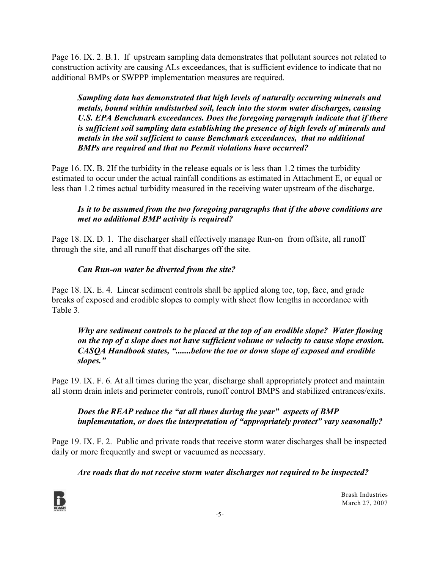Page 16. IX. 2. B.1. If upstream sampling data demonstrates that pollutant sources not related to construction activity are causing ALs exceedances, that is sufficient evidence to indicate that no additional BMPs or SWPPP implementation measures are required.

*Sampling data has demonstrated that high levels of naturally occurring minerals and metals, bound within undisturbed soil, leach into the storm water discharges, causing U.S. EPA Benchmark exceedances. Does the foregoing paragraph indicate that if there is sufficient soil sampling data establishing the presence of high levels of minerals and metals in the soil sufficient to cause Benchmark exceedances, that no additional BMPs are required and that no Permit violations have occurred?*

Page 16. IX. B. 2If the turbidity in the release equals or is less than 1.2 times the turbidity estimated to occur under the actual rainfall conditions as estimated in Attachment E, or equal or less than 1.2 times actual turbidity measured in the receiving water upstream of the discharge.

#### *Is it to be assumed from the two foregoing paragraphs that if the above conditions are met no additional BMP activity is required?*

Page 18. IX. D. 1. The discharger shall effectively manage Run-on from offsite, all runoff through the site, and all runoff that discharges off the site.

#### *Can Run-on water be diverted from the site?*

Page 18. IX. E. 4. Linear sediment controls shall be applied along toe, top, face, and grade breaks of exposed and erodible slopes to comply with sheet flow lengths in accordance with Table 3.

*Why are sediment controls to be placed at the top of an erodible slope? Water flowing on the top of a slope does not have sufficient volume or velocity to cause slope erosion. CASQA Handbook states, ".......below the toe or down slope of exposed and erodible slopes."*

Page 19. IX. F. 6. At all times during the year, discharge shall appropriately protect and maintain all storm drain inlets and perimeter controls, runoff control BMPS and stabilized entrances/exits.

#### *Does the REAP reduce the "at all times during the year" aspects of BMP implementation, or does the interpretation of "appropriately protect" vary seasonally?*

Page 19. IX. F. 2. Public and private roads that receive storm water discharges shall be inspected daily or more frequently and swept or vacuumed as necessary.

## *Are roads that do not receive storm water discharges not required to be inspected?*

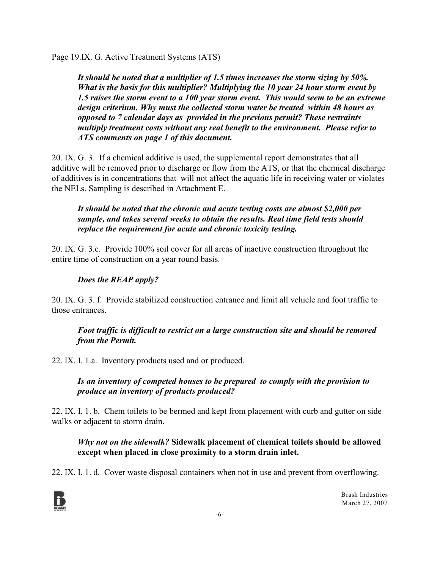Page 19.IX. G. Active Treatment Systems (ATS)

*It should be noted that a multiplier of 1.5 times increases the storm sizing by 50%. What is the basis for this multiplier? Multiplying the 10 year 24 hour storm event by 1.5 raises the storm event to a 100 year storm event. This would seem to be an extreme design criterium. Why must the collected storm water be treated within 48 hours as opposed to 7 calendar days as provided in the previous permit? These restraints multiply treatment costs without any real benefit to the environment. Please refer to ATS comments on page 1 of this document.*

20. IX. G. 3. If a chemical additive is used, the supplemental report demonstrates that all additive will be removed prior to discharge or flow from the ATS, or that the chemical discharge of additives is in concentrations that will not affect the aquatic life in receiving water or violates the NELs. Sampling is described in Attachment E.

#### *It should be noted that the chronic and acute testing costs are almost \$2,000 per sample, and takes several weeks to obtain the results. Real time field tests should replace the requirement for acute and chronic toxicity testing.*

20. IX. G. 3.c. Provide 100% soil cover for all areas of inactive construction throughout the entire time of construction on a year round basis.

## *Does the REAP apply?*

20. IX. G. 3. f. Provide stabilized construction entrance and limit all vehicle and foot traffic to those entrances.

#### *Foot traffic is difficult to restrict on a large construction site and should be removed from the Permit.*

22. IX. I. 1.a. Inventory products used and or produced.

*Is an inventory of competed houses to be prepared to comply with the provision to produce an inventory of products produced?*

22. IX. I. 1. b. Chem toilets to be bermed and kept from placement with curb and gutter on side walks or adjacent to storm drain.

#### *Why not on the sidewalk?* **Sidewalk placement of chemical toilets should be allowed except when placed in close proximity to a storm drain inlet.**

22. IX. I. 1. d. Cover waste disposal containers when not in use and prevent from overflowing.

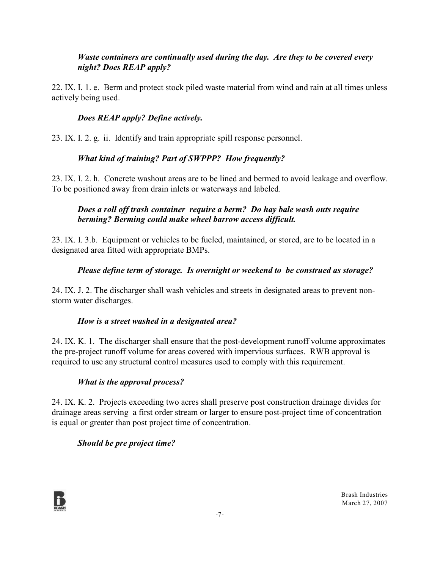#### *Waste containers are continually used during the day. Are they to be covered every night? Does REAP apply?*

22. IX. I. 1. e. Berm and protect stock piled waste material from wind and rain at all times unless actively being used.

#### *Does REAP apply? Define actively.*

23. IX. I. 2. g. ii. Identify and train appropriate spill response personnel.

#### *What kind of training? Part of SWPPP? How frequently?*

23. IX. I. 2. h. Concrete washout areas are to be lined and bermed to avoid leakage and overflow. To be positioned away from drain inlets or waterways and labeled.

#### *Does a roll off trash container require a berm? Do hay bale wash outs require berming? Berming could make wheel barrow access difficult.*

23. IX. I. 3.b. Equipment or vehicles to be fueled, maintained, or stored, are to be located in a designated area fitted with appropriate BMPs.

#### *Please define term of storage. Is overnight or weekend to be construed as storage?*

24. IX. J. 2. The discharger shall wash vehicles and streets in designated areas to prevent nonstorm water discharges.

#### *How is a street washed in a designated area?*

24. IX. K. 1. The discharger shall ensure that the post-development runoff volume approximates the pre-project runoff volume for areas covered with impervious surfaces. RWB approval is required to use any structural control measures used to comply with this requirement.

#### *What is the approval process?*

24. IX. K. 2. Projects exceeding two acres shall preserve post construction drainage divides for drainage areas serving a first order stream or larger to ensure post-project time of concentration is equal or greater than post project time of concentration.

#### *Should be pre project time?*

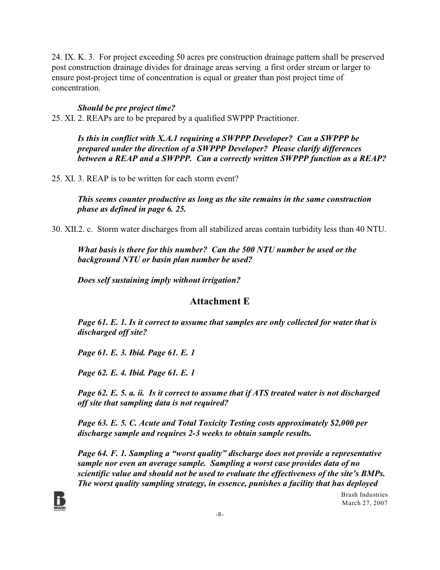24. IX. K. 3. For project exceeding 50 acres pre construction drainage pattern shall be preserved post construction drainage divides for drainage areas serving a first order stream or larger to ensure post-project time of concentration is equal or greater than post project time of concentration.

#### *Should be pre project time?*

25. XI. 2. REAPs are to be prepared by a qualified SWPPP Practitioner.

*Is this in conflict with X.A.1 requiring a SWPPP Developer? Can a SWPPP be prepared under the direction of a SWPPP Developer? Please clarify differences between a REAP and a SWPPP. Can a correctly written SWPPP function as a REAP?*

25. XI. 3. REAP is to be written for each storm event?

*This seems counter productive as long as the site remains in the same construction phase as defined in page 6. 25.* 

30. XII.2. c. Storm water discharges from all stabilized areas contain turbidity less than 40 NTU.

*What basis is there for this number? Can the 500 NTU number be used or the background NTU or basin plan number be used?*

*Does self sustaining imply without irrigation?* 

#### **Attachment E**

*Page 61. E. 1. Is it correct to assume that samples are only collected for water that is discharged off site?*

*Page 61. E. 3. Ibid. Page 61. E. 1*

*Page 62. E. 4. Ibid. Page 61. E. 1*

*Page 62. E. 5. a. ii. Is it correct to assume that if ATS treated water is not discharged off site that sampling data is not required?*

*Page 63. E. 5. C. Acute and Total Toxicity Testing costs approximately \$2,000 per discharge sample and requires 2-3 weeks to obtain sample results.*

*Page 64. F. 1. Sampling a "worst quality" discharge does not provide a representative sample nor even an average sample. Sampling a worst case provides data of no scientific value and should not be used to evaluate the effectiveness of the site's BMPs. The worst quality sampling strategy, in essence, punishes a facility that has deployed*